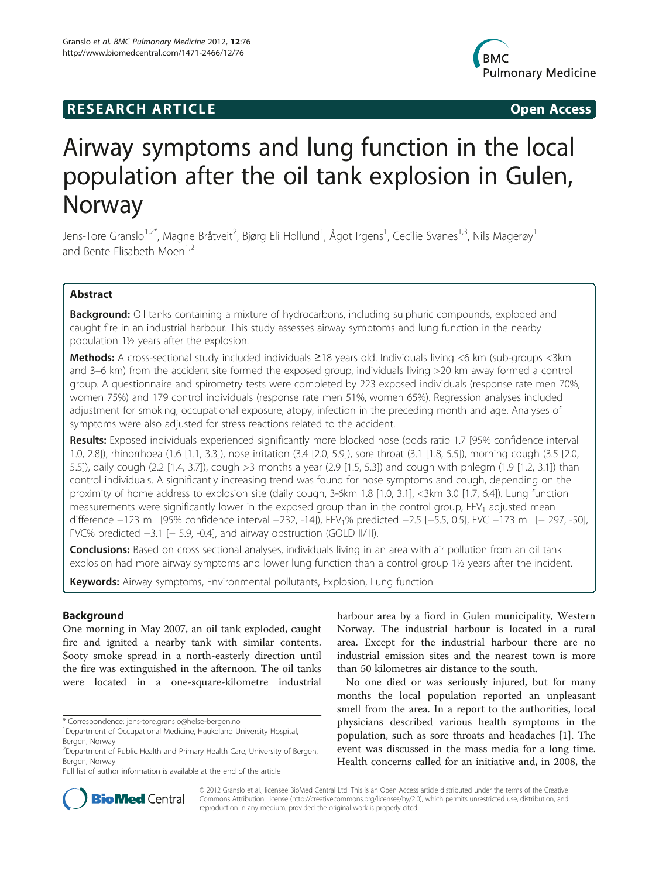# **RESEARCH ARTICLE Example 2018 12:00 Open Access**



# Airway symptoms and lung function in the local population after the oil tank explosion in Gulen, Norway

Jens-Tore Granslo<sup>1,2\*</sup>, Magne Bråtveit<sup>2</sup>, Bjørg Eli Hollund<sup>1</sup>, Ågot Irgens<sup>1</sup>, Cecilie Svanes<sup>1,3</sup>, Nils Magerøy<sup>1</sup> and Bente Elisabeth Moen<sup>1,2</sup>

# Abstract

**Background:** Oil tanks containing a mixture of hydrocarbons, including sulphuric compounds, exploded and caught fire in an industrial harbour. This study assesses airway symptoms and lung function in the nearby population 1½ years after the explosion.

Methods: A cross-sectional study included individuals ≥18 years old. Individuals living <6 km (sub-groups <3km and 3–6 km) from the accident site formed the exposed group, individuals living >20 km away formed a control group. A questionnaire and spirometry tests were completed by 223 exposed individuals (response rate men 70%, women 75%) and 179 control individuals (response rate men 51%, women 65%). Regression analyses included adjustment for smoking, occupational exposure, atopy, infection in the preceding month and age. Analyses of symptoms were also adjusted for stress reactions related to the accident.

Results: Exposed individuals experienced significantly more blocked nose (odds ratio 1.7 [95% confidence interval 1.0, 2.8]), rhinorrhoea (1.6 [1.1, 3.3]), nose irritation (3.4 [2.0, 5.9]), sore throat (3.1 [1.8, 5.5]), morning cough (3.5 [2.0, 5.5]), daily cough (2.2 [1.4, 3.7]), cough >3 months a year (2.9 [1.5, 5.3]) and cough with phlegm (1.9 [1.2, 3.1]) than control individuals. A significantly increasing trend was found for nose symptoms and cough, depending on the proximity of home address to explosion site (daily cough, 3-6km 1.8 [1.0, 3.1], <3km 3.0 [1.7, 6.4]). Lung function measurements were significantly lower in the exposed group than in the control group,  $FEV<sub>1</sub>$  adjusted mean difference −123 mL [95% confidence interval −232, -14]), FEV1% predicted −2.5 [−5.5, 0.5], FVC −173 mL [− 297, -50], FVC% predicted −3.1 [− 5.9, -0.4], and airway obstruction (GOLD II/III).

Conclusions: Based on cross sectional analyses, individuals living in an area with air pollution from an oil tank explosion had more airway symptoms and lower lung function than a control group 1½ years after the incident.

Keywords: Airway symptoms, Environmental pollutants, Explosion, Lung function

# Background

One morning in May 2007, an oil tank exploded, caught fire and ignited a nearby tank with similar contents. Sooty smoke spread in a north-easterly direction until the fire was extinguished in the afternoon. The oil tanks were located in a one-square-kilometre industrial harbour area by a fiord in Gulen municipality, Western Norway. The industrial harbour is located in a rural area. Except for the industrial harbour there are no industrial emission sites and the nearest town is more than 50 kilometres air distance to the south.

No one died or was seriously injured, but for many months the local population reported an unpleasant smell from the area. In a report to the authorities, local physicians described various health symptoms in the population, such as sore throats and headaches [[1\]](#page-9-0). The event was discussed in the mass media for a long time. Health concerns called for an initiative and, in 2008, the



© 2012 Granslo et al.; licensee BioMed Central Ltd. This is an Open Access article distributed under the terms of the Creative Commons Attribution License [\(http://creativecommons.org/licenses/by/2.0\)](http://creativecommons.org/licenses/by/2.0), which permits unrestricted use, distribution, and reproduction in any medium, provided the original work is properly cited.

<sup>\*</sup> Correspondence: [jens-tore.granslo@helse-bergen.no](mailto:jens-tore.granslo@helse-bergen.no) <sup>1</sup>

<sup>&</sup>lt;sup>1</sup>Department of Occupational Medicine, Haukeland University Hospital, Bergen, Norway

<sup>2</sup> Department of Public Health and Primary Health Care, University of Bergen, Bergen, Norway

Full list of author information is available at the end of the article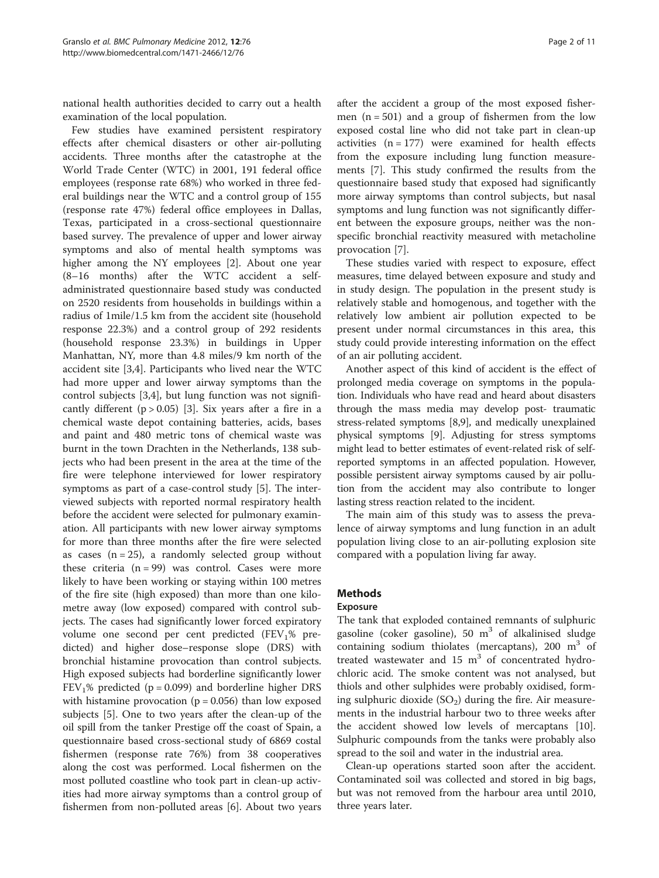national health authorities decided to carry out a health examination of the local population.

Few studies have examined persistent respiratory effects after chemical disasters or other air-polluting accidents. Three months after the catastrophe at the World Trade Center (WTC) in 2001, 191 federal office employees (response rate 68%) who worked in three federal buildings near the WTC and a control group of 155 (response rate 47%) federal office employees in Dallas, Texas, participated in a cross-sectional questionnaire based survey. The prevalence of upper and lower airway symptoms and also of mental health symptoms was higher among the NY employees [[2\]](#page-9-0). About one year (8–16 months) after the WTC accident a selfadministrated questionnaire based study was conducted on 2520 residents from households in buildings within a radius of 1mile/1.5 km from the accident site (household response 22.3%) and a control group of 292 residents (household response 23.3%) in buildings in Upper Manhattan, NY, more than 4.8 miles/9 km north of the accident site [[3](#page-9-0),[4](#page-9-0)]. Participants who lived near the WTC had more upper and lower airway symptoms than the control subjects [\[3,4](#page-9-0)], but lung function was not significantly different  $(p > 0.05)$  [\[3\]](#page-9-0). Six years after a fire in a chemical waste depot containing batteries, acids, bases and paint and 480 metric tons of chemical waste was burnt in the town Drachten in the Netherlands, 138 subjects who had been present in the area at the time of the fire were telephone interviewed for lower respiratory symptoms as part of a case-control study [[5\]](#page-9-0). The interviewed subjects with reported normal respiratory health before the accident were selected for pulmonary examination. All participants with new lower airway symptoms for more than three months after the fire were selected as cases  $(n = 25)$ , a randomly selected group without these criteria  $(n = 99)$  was control. Cases were more likely to have been working or staying within 100 metres of the fire site (high exposed) than more than one kilometre away (low exposed) compared with control subjects. The cases had significantly lower forced expiratory volume one second per cent predicted  $(FEV<sub>1</sub>% pre$ dicted) and higher dose–response slope (DRS) with bronchial histamine provocation than control subjects. High exposed subjects had borderline significantly lower  $FEV<sub>1</sub>%$  predicted (p = 0.099) and borderline higher DRS with histamine provocation ( $p = 0.056$ ) than low exposed subjects [\[5](#page-9-0)]. One to two years after the clean-up of the oil spill from the tanker Prestige off the coast of Spain, a questionnaire based cross-sectional study of 6869 costal fishermen (response rate 76%) from 38 cooperatives along the cost was performed. Local fishermen on the most polluted coastline who took part in clean-up activities had more airway symptoms than a control group of fishermen from non-polluted areas [\[6](#page-9-0)]. About two years

after the accident a group of the most exposed fishermen  $(n = 501)$  and a group of fishermen from the low exposed costal line who did not take part in clean-up activities  $(n = 177)$  were examined for health effects from the exposure including lung function measurements [\[7](#page-9-0)]. This study confirmed the results from the questionnaire based study that exposed had significantly more airway symptoms than control subjects, but nasal symptoms and lung function was not significantly different between the exposure groups, neither was the nonspecific bronchial reactivity measured with metacholine provocation [\[7](#page-9-0)].

These studies varied with respect to exposure, effect measures, time delayed between exposure and study and in study design. The population in the present study is relatively stable and homogenous, and together with the relatively low ambient air pollution expected to be present under normal circumstances in this area, this study could provide interesting information on the effect of an air polluting accident.

Another aspect of this kind of accident is the effect of prolonged media coverage on symptoms in the population. Individuals who have read and heard about disasters through the mass media may develop post- traumatic stress-related symptoms [\[8,9\]](#page-9-0), and medically unexplained physical symptoms [\[9](#page-9-0)]. Adjusting for stress symptoms might lead to better estimates of event-related risk of selfreported symptoms in an affected population. However, possible persistent airway symptoms caused by air pollution from the accident may also contribute to longer lasting stress reaction related to the incident.

The main aim of this study was to assess the prevalence of airway symptoms and lung function in an adult population living close to an air-polluting explosion site compared with a population living far away.

# Methods

#### Exposure

The tank that exploded contained remnants of sulphuric gasoline (coker gasoline), 50  $m<sup>3</sup>$  of alkalinised sludge containing sodium thiolates (mercaptans), 200  $m<sup>3</sup>$  of treated wastewater and 15  $m<sup>3</sup>$  of concentrated hydrochloric acid. The smoke content was not analysed, but thiols and other sulphides were probably oxidised, forming sulphuric dioxide  $(SO<sub>2</sub>)$  during the fire. Air measurements in the industrial harbour two to three weeks after the accident showed low levels of mercaptans [\[10](#page-9-0)]. Sulphuric compounds from the tanks were probably also spread to the soil and water in the industrial area.

Clean-up operations started soon after the accident. Contaminated soil was collected and stored in big bags, but was not removed from the harbour area until 2010, three years later.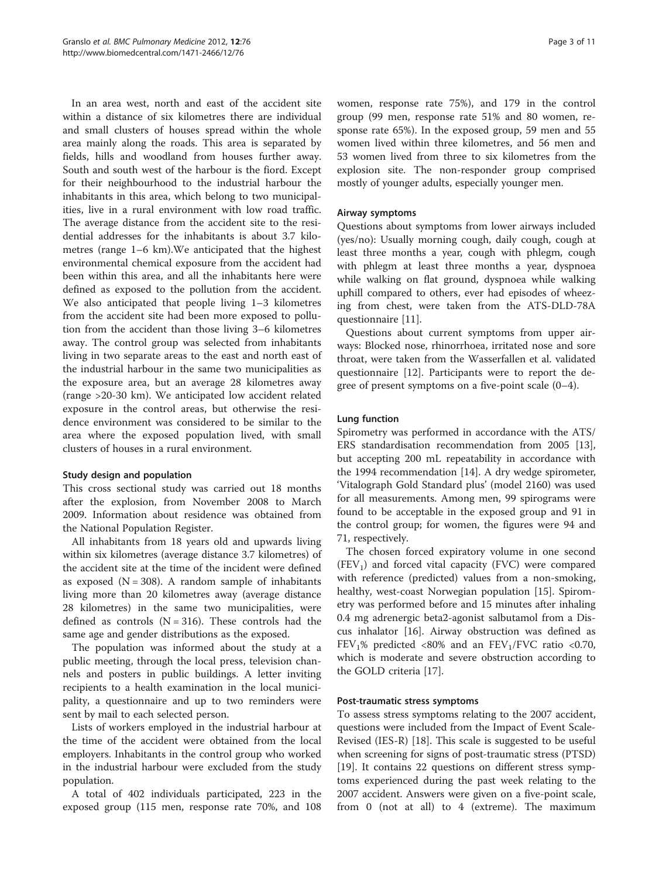In an area west, north and east of the accident site within a distance of six kilometres there are individual and small clusters of houses spread within the whole area mainly along the roads. This area is separated by fields, hills and woodland from houses further away. South and south west of the harbour is the fiord. Except for their neighbourhood to the industrial harbour the inhabitants in this area, which belong to two municipalities, live in a rural environment with low road traffic. The average distance from the accident site to the residential addresses for the inhabitants is about 3.7 kilometres (range 1–6 km).We anticipated that the highest environmental chemical exposure from the accident had been within this area, and all the inhabitants here were defined as exposed to the pollution from the accident. We also anticipated that people living 1–3 kilometres from the accident site had been more exposed to pollution from the accident than those living 3–6 kilometres away. The control group was selected from inhabitants living in two separate areas to the east and north east of the industrial harbour in the same two municipalities as the exposure area, but an average 28 kilometres away (range >20-30 km). We anticipated low accident related exposure in the control areas, but otherwise the residence environment was considered to be similar to the area where the exposed population lived, with small clusters of houses in a rural environment.

#### Study design and population

This cross sectional study was carried out 18 months after the explosion, from November 2008 to March 2009. Information about residence was obtained from the National Population Register.

All inhabitants from 18 years old and upwards living within six kilometres (average distance 3.7 kilometres) of the accident site at the time of the incident were defined as exposed  $(N = 308)$ . A random sample of inhabitants living more than 20 kilometres away (average distance 28 kilometres) in the same two municipalities, were defined as controls  $(N = 316)$ . These controls had the same age and gender distributions as the exposed.

The population was informed about the study at a public meeting, through the local press, television channels and posters in public buildings. A letter inviting recipients to a health examination in the local municipality, a questionnaire and up to two reminders were sent by mail to each selected person.

Lists of workers employed in the industrial harbour at the time of the accident were obtained from the local employers. Inhabitants in the control group who worked in the industrial harbour were excluded from the study population.

A total of 402 individuals participated, 223 in the exposed group (115 men, response rate 70%, and 108 women, response rate 75%), and 179 in the control group (99 men, response rate 51% and 80 women, response rate 65%). In the exposed group, 59 men and 55 women lived within three kilometres, and 56 men and 53 women lived from three to six kilometres from the explosion site. The non-responder group comprised mostly of younger adults, especially younger men.

# Airway symptoms

Questions about symptoms from lower airways included (yes/no): Usually morning cough, daily cough, cough at least three months a year, cough with phlegm, cough with phlegm at least three months a year, dyspnoea while walking on flat ground, dyspnoea while walking uphill compared to others, ever had episodes of wheezing from chest, were taken from the ATS-DLD-78A questionnaire [\[11](#page-9-0)].

Questions about current symptoms from upper airways: Blocked nose, rhinorrhoea, irritated nose and sore throat, were taken from the Wasserfallen et al. validated questionnaire [[12\]](#page-9-0). Participants were to report the degree of present symptoms on a five-point scale (0–4).

# Lung function

Spirometry was performed in accordance with the ATS/ ERS standardisation recommendation from 2005 [\[13](#page-9-0)], but accepting 200 mL repeatability in accordance with the 1994 recommendation [[14](#page-9-0)]. A dry wedge spirometer, 'Vitalograph Gold Standard plus' (model 2160) was used for all measurements. Among men, 99 spirograms were found to be acceptable in the exposed group and 91 in the control group; for women, the figures were 94 and 71, respectively.

The chosen forced expiratory volume in one second  $(FEV<sub>1</sub>)$  and forced vital capacity (FVC) were compared with reference (predicted) values from a non-smoking, healthy, west-coast Norwegian population [\[15](#page-9-0)]. Spirometry was performed before and 15 minutes after inhaling 0.4 mg adrenergic beta2-agonist salbutamol from a Discus inhalator [\[16](#page-9-0)]. Airway obstruction was defined as FEV<sub>1</sub>% predicted <80% and an FEV<sub>1</sub>/FVC ratio <0.70, which is moderate and severe obstruction according to the GOLD criteria [\[17\]](#page-9-0).

# Post-traumatic stress symptoms

To assess stress symptoms relating to the 2007 accident, questions were included from the Impact of Event Scale-Revised (IES-R) [\[18](#page-9-0)]. This scale is suggested to be useful when screening for signs of post-traumatic stress (PTSD) [[19\]](#page-9-0). It contains 22 questions on different stress symptoms experienced during the past week relating to the 2007 accident. Answers were given on a five-point scale, from 0 (not at all) to 4 (extreme). The maximum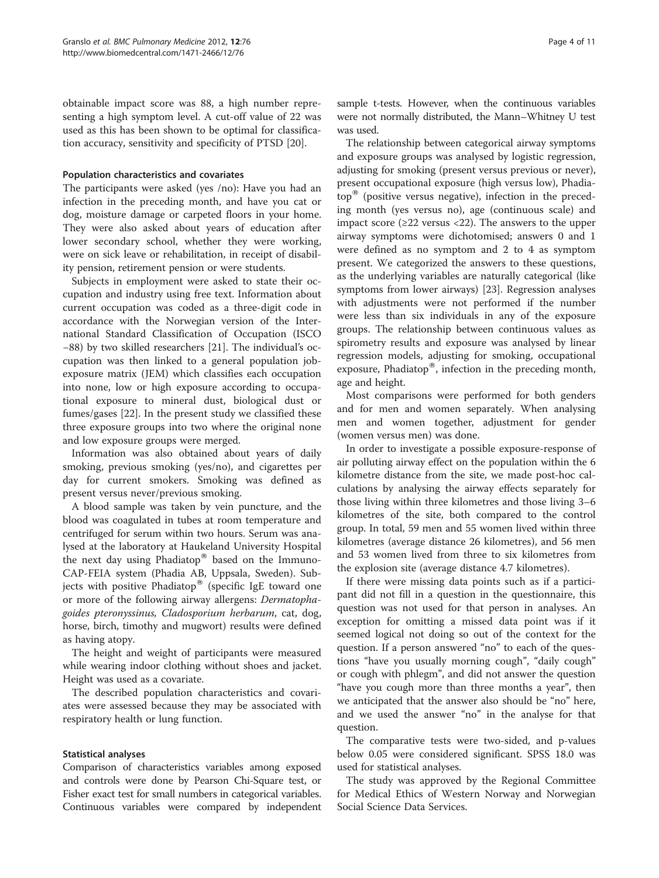obtainable impact score was 88, a high number representing a high symptom level. A cut-off value of 22 was used as this has been shown to be optimal for classification accuracy, sensitivity and specificity of PTSD [\[20](#page-9-0)].

## Population characteristics and covariates

The participants were asked (yes /no): Have you had an infection in the preceding month, and have you cat or dog, moisture damage or carpeted floors in your home. They were also asked about years of education after lower secondary school, whether they were working, were on sick leave or rehabilitation, in receipt of disability pension, retirement pension or were students.

Subjects in employment were asked to state their occupation and industry using free text. Information about current occupation was coded as a three-digit code in accordance with the Norwegian version of the International Standard Classification of Occupation (ISCO −88) by two skilled researchers [\[21](#page-9-0)]. The individual's occupation was then linked to a general population jobexposure matrix (JEM) which classifies each occupation into none, low or high exposure according to occupational exposure to mineral dust, biological dust or fumes/gases [\[22\]](#page-9-0). In the present study we classified these three exposure groups into two where the original none and low exposure groups were merged.

Information was also obtained about years of daily smoking, previous smoking (yes/no), and cigarettes per day for current smokers. Smoking was defined as present versus never/previous smoking.

A blood sample was taken by vein puncture, and the blood was coagulated in tubes at room temperature and centrifuged for serum within two hours. Serum was analysed at the laboratory at Haukeland University Hospital the next day using Phadiatop $^{\circledR}$  based on the Immuno-CAP-FEIA system (Phadia AB, Uppsala, Sweden). Subjects with positive Phadiatop<sup>®</sup> (specific IgE toward one or more of the following airway allergens: Dermatophagoides pteronyssinus, Cladosporium herbarum, cat, dog, horse, birch, timothy and mugwort) results were defined as having atopy.

The height and weight of participants were measured while wearing indoor clothing without shoes and jacket. Height was used as a covariate.

The described population characteristics and covariates were assessed because they may be associated with respiratory health or lung function.

# Statistical analyses

Comparison of characteristics variables among exposed and controls were done by Pearson Chi-Square test, or Fisher exact test for small numbers in categorical variables. Continuous variables were compared by independent sample t-tests. However, when the continuous variables were not normally distributed, the Mann–Whitney U test was used.

The relationship between categorical airway symptoms and exposure groups was analysed by logistic regression, adjusting for smoking (present versus previous or never), present occupational exposure (high versus low), Phadia $top^{\otimes}$  (positive versus negative), infection in the preceding month (yes versus no), age (continuous scale) and impact score (≥22 versus <22). The answers to the upper airway symptoms were dichotomised; answers 0 and 1 were defined as no symptom and 2 to 4 as symptom present. We categorized the answers to these questions, as the underlying variables are naturally categorical (like symptoms from lower airways) [\[23](#page-9-0)]. Regression analyses with adjustments were not performed if the number were less than six individuals in any of the exposure groups. The relationship between continuous values as spirometry results and exposure was analysed by linear regression models, adjusting for smoking, occupational exposure, Phadiatop $^{\circledR}$ , infection in the preceding month, age and height.

Most comparisons were performed for both genders and for men and women separately. When analysing men and women together, adjustment for gender (women versus men) was done.

In order to investigate a possible exposure-response of air polluting airway effect on the population within the 6 kilometre distance from the site, we made post-hoc calculations by analysing the airway effects separately for those living within three kilometres and those living 3–6 kilometres of the site, both compared to the control group. In total, 59 men and 55 women lived within three kilometres (average distance 26 kilometres), and 56 men and 53 women lived from three to six kilometres from the explosion site (average distance 4.7 kilometres).

If there were missing data points such as if a participant did not fill in a question in the questionnaire, this question was not used for that person in analyses. An exception for omitting a missed data point was if it seemed logical not doing so out of the context for the question. If a person answered "no" to each of the questions "have you usually morning cough", "daily cough" or cough with phlegm", and did not answer the question "have you cough more than three months a year", then we anticipated that the answer also should be "no" here, and we used the answer "no" in the analyse for that question.

The comparative tests were two-sided, and p-values below 0.05 were considered significant. SPSS 18.0 was used for statistical analyses.

The study was approved by the Regional Committee for Medical Ethics of Western Norway and Norwegian Social Science Data Services.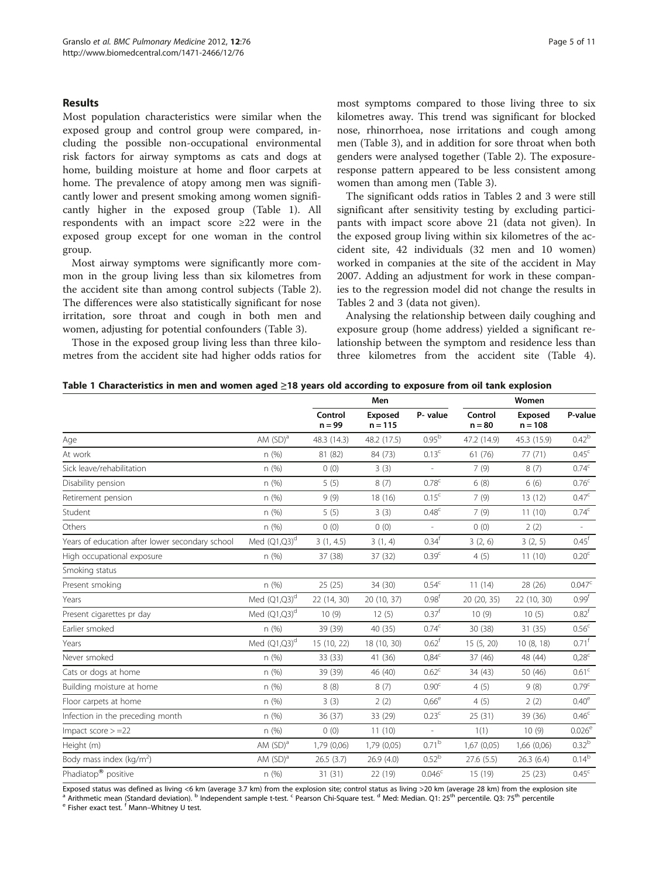## Results

Most population characteristics were similar when the exposed group and control group were compared, including the possible non-occupational environmental risk factors for airway symptoms as cats and dogs at home, building moisture at home and floor carpets at home. The prevalence of atopy among men was significantly lower and present smoking among women significantly higher in the exposed group (Table 1). All respondents with an impact score ≥22 were in the exposed group except for one woman in the control group.

Most airway symptoms were significantly more common in the group living less than six kilometres from the accident site than among control subjects (Table [2](#page-5-0)). The differences were also statistically significant for nose irritation, sore throat and cough in both men and women, adjusting for potential confounders (Table [3](#page-6-0)).

Those in the exposed group living less than three kilometres from the accident site had higher odds ratios for most symptoms compared to those living three to six kilometres away. This trend was significant for blocked nose, rhinorrhoea, nose irritations and cough among men (Table [3\)](#page-6-0), and in addition for sore throat when both genders were analysed together (Table [2](#page-5-0)). The exposureresponse pattern appeared to be less consistent among women than among men (Table [3\)](#page-6-0).

The significant odds ratios in Tables [2](#page-5-0) and [3](#page-6-0) were still significant after sensitivity testing by excluding participants with impact score above 21 (data not given). In the exposed group living within six kilometres of the accident site, 42 individuals (32 men and 10 women) worked in companies at the site of the accident in May 2007. Adding an adjustment for work in these companies to the regression model did not change the results in Tables [2](#page-5-0) and [3](#page-6-0) (data not given).

Analysing the relationship between daily coughing and exposure group (home address) yielded a significant relationship between the symptom and residence less than three kilometres from the accident site (Table [4](#page-7-0)).

|  |  |  |  |  |  | Table 1 Characteristics in men and women aged ≥18 years old according to exposure from oil tank explosion |
|--|--|--|--|--|--|-----------------------------------------------------------------------------------------------------------|
|--|--|--|--|--|--|-----------------------------------------------------------------------------------------------------------|

|                                                 |                          |                     | Men                         |                     | Women               |                      |                     |
|-------------------------------------------------|--------------------------|---------------------|-----------------------------|---------------------|---------------------|----------------------|---------------------|
|                                                 |                          | Control<br>$n = 99$ | <b>Exposed</b><br>$n = 115$ | P- value            | Control<br>$n = 80$ | Exposed<br>$n = 108$ | P-value             |
| Age                                             | AM $(SD)^a$              | 48.3 (14.3)         | 48.2 (17.5)                 | $0.95^{\rm b}$      | 47.2 (14.9)         | 45.3 (15.9)          | $0.42^{b}$          |
| At work                                         | n(%)                     | 81 (82)             | 84 (73)                     | 0.13 <sup>c</sup>   | 61 (76)             | 77(71)               | $0.45^{\circ}$      |
| Sick leave/rehabilitation                       | n(%)                     | 0(0)                | 3(3)                        | ÷.                  | 7(9)                | 8(7)                 | $0.74^{\circ}$      |
| Disability pension                              | n(%)                     | 5(5)                | 8(7)                        | 0.78 <sup>c</sup>   | 6(8)                | 6(6)                 | 0.76 <sup>c</sup>   |
| Retirement pension                              | n(%)                     | 9(9)                | 18 (16)                     | $0.15^{c}$          | 7(9)                | 13(12)               | 0.47 <sup>c</sup>   |
| Student                                         | n(%)                     | 5(5)                | 3(3)                        | $0.48^{c}$          | 7(9)                | 11(10)               | 0.74 <sup>c</sup>   |
| Others                                          | n(%)                     | O(0)                | 0(0)                        |                     | 0(0)                | 2(2)                 |                     |
| Years of education after lower secondary school | Med $(Q1,Q3)^d$          | 3(1, 4.5)           | 3(1, 4)                     | $0.34$ <sup>f</sup> | 3(2, 6)             | 3(2, 5)              | 0.45 <sup>f</sup>   |
| High occupational exposure                      | n(%)                     | 37 (38)             | 37 (32)                     | 0.39 <sup>c</sup>   | 4(5)                | 11(10)               | 0.20 <sup>c</sup>   |
| Smoking status                                  |                          |                     |                             |                     |                     |                      |                     |
| Present smoking                                 | n(%)                     | 25(25)              | 34 (30)                     | 0.54 <sup>c</sup>   | 11(14)              | 28 (26)              | 0.047 <sup>c</sup>  |
| Years                                           | Med $(Q1,Q3)^d$          | 22 (14, 30)         | 20 (10, 37)                 | 0.98 <sup>f</sup>   | 20 (20, 35)         | 22 (10, 30)          | 0.99 <sup>f</sup>   |
| Present cigarettes pr day                       | Med (Q1,Q3) <sup>d</sup> | 10(9)               | 12(5)                       | 0.37 <sup>f</sup>   | 10(9)               | 10(5)                | 0.82 <sup>f</sup>   |
| Farlier smoked                                  | n(%)                     | 39 (39)             | 40 (35)                     | $0.74^{\circ}$      | 30 (38)             | 31 (35)              | 0.56 <sup>c</sup>   |
| Years                                           | Med $(Q1,Q3)^d$          | 15 (10, 22)         | 18 (10, 30)                 | 0.62 <sup>f</sup>   | 15(5, 20)           | 10(8, 18)            | $0.71$ <sup>f</sup> |
| Never smoked                                    | n(%)                     | 33 (33)             | 41 (36)                     | 0.84 <sup>c</sup>   | 37 (46)             | 48 (44)              | $0,28^c$            |
| Cats or dogs at home                            | n(%)                     | 39 (39)             | 46 (40)                     | 0.62 <sup>c</sup>   | 34 (43)             | 50 (46)              | 0.61 <sup>c</sup>   |
| Building moisture at home                       | n(%)                     | 8(8)                | 8(7)                        | 0.90 <sup>c</sup>   | 4(5)                | 9(8)                 | 0.79 <sup>c</sup>   |
| Floor carpets at home                           | n(%)                     | 3(3)                | 2(2)                        | $0,66^\mathrm{e}$   | 4(5)                | 2(2)                 | $0.40^\mathrm{e}$   |
| Infection in the preceding month                | n(%)                     | 36 (37)             | 33 (29)                     | 0.23 <sup>c</sup>   | 25(31)              | 39 (36)              | 0.46 <sup>c</sup>   |
| Impact score $> = 22$                           | n(%)                     | 0(0)                | 11(10)                      |                     | 1(1)                | 10(9)                | $0.026^{\circ}$     |
| Height (m)                                      | AM $(SD)^a$              | 1,79 (0,06)         | 1,79 (0,05)                 | $0.71^{b}$          | 1,67(0,05)          | 1,66 (0,06)          | $0.32^{b}$          |
| Body mass index (kg/m <sup>2</sup> )            | AM $(SD)^a$              | 26.5(3.7)           | 26.9(4.0)                   | 0.52 <sup>b</sup>   | 27.6(5.5)           | 26.3(6.4)            | $0.14^{b}$          |
| Phadiatop <sup>®</sup> positive                 | n(%)                     | 31 (31)             | 22 (19)                     | 0.046 <sup>c</sup>  | 15 (19)             | 25 (23)              | $0.45^{\circ}$      |

Exposed status was defined as living <6 km (average 3.7 km) from the explosion site; control status as living >20 km (average 28 km) from the explosion site a firthmetic mean (Standard deviation). <sup>b</sup> Independent sample t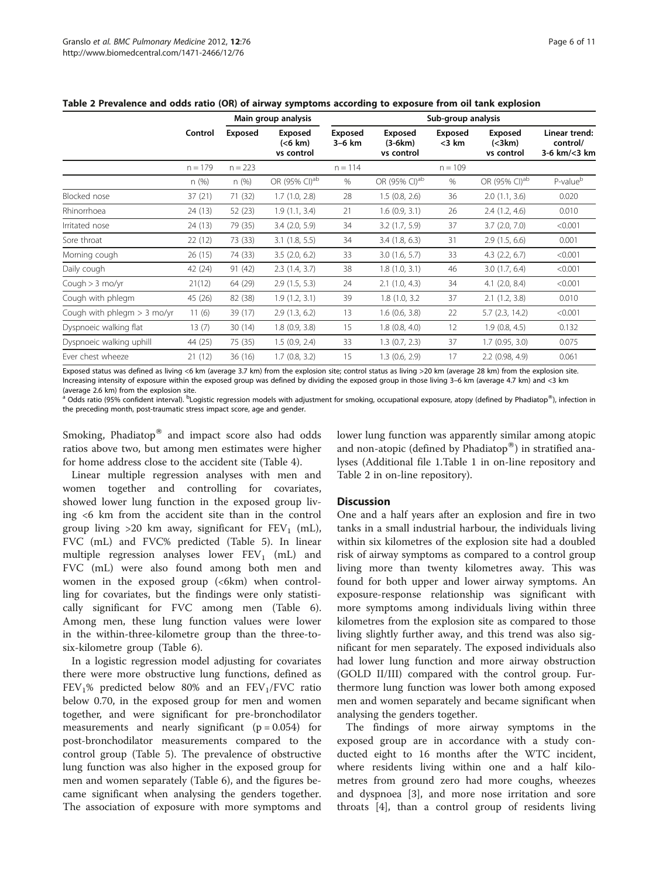|                               |           |                | Main group analysis                                |                     | Sub-group analysis                 |                            |                                        |                                           |  |  |
|-------------------------------|-----------|----------------|----------------------------------------------------|---------------------|------------------------------------|----------------------------|----------------------------------------|-------------------------------------------|--|--|
|                               | Control   | <b>Exposed</b> | <b>Exposed</b><br>( <sub>6</sub> km)<br>vs control | Exposed<br>$3-6$ km | Exposed<br>$(3-6km)$<br>vs control | <b>Exposed</b><br>$<$ 3 km | <b>Exposed</b><br>(<3km)<br>vs control | Linear trend:<br>control/<br>3-6 km/<3 km |  |  |
|                               | $n = 179$ | $n = 223$      |                                                    | $n = 114$           |                                    | $n = 109$                  |                                        |                                           |  |  |
|                               | n(%)      | n(%)           | OR (95% CI) <sup>ab</sup>                          | $\%$                | OR (95% CI) <sup>ab</sup>          | %                          | OR (95% CI) <sup>ab</sup>              | P-value <sup>b</sup>                      |  |  |
| Blocked nose                  | 37(21)    | 71 (32)        | 1.7(1.0, 2.8)                                      | 28                  | $1.5$ (0.8, 2.6)                   | 36                         | 2.0(1.1, 3.6)                          | 0.020                                     |  |  |
| Rhinorrhoea                   | 24 (13)   | 52 (23)        | 1.9(1.1, 3.4)                                      | 21                  | 1.6(0.9, 3.1)                      | 26                         | 2.4(1.2, 4.6)                          | 0.010                                     |  |  |
| Irritated nose                | 24 (13)   | 79 (35)        | $3.4$ (2.0, 5.9)                                   | 34                  | 3.2(1.7, 5.9)                      | 37                         | 3.7(2.0, 7.0)                          | < 0.001                                   |  |  |
| Sore throat                   | 22 (12)   | 73 (33)        | $3.1$ $(1.8, 5.5)$                                 | 34                  | 3.4(1.8, 6.3)                      | 31                         | 2.9(1.5, 6.6)                          | 0.001                                     |  |  |
| Morning cough                 | 26(15)    | 74 (33)        | 3.5(2.0, 6.2)                                      | 33                  | 3.0(1.6, 5.7)                      | 33                         | $4.3$ $(2.2, 6.7)$                     | < 0.001                                   |  |  |
| Daily cough                   | 42 (24)   | 91 (42)        | 2.3(1.4, 3.7)                                      | 38                  | 1.8(1.0, 3.1)                      | 46                         | 3.0(1.7, 6.4)                          | < 0.001                                   |  |  |
| Cough $>$ 3 mo/yr             | 21(12)    | 64 (29)        | 2.9(1.5, 5.3)                                      | 24                  | $2.1$ $(1.0, 4.3)$                 | 34                         | $4.1$ $(2.0, 8.4)$                     | < 0.001                                   |  |  |
| Cough with phlegm             | 45 (26)   | 82 (38)        | 1.9(1.2, 3.1)                                      | 39                  | 1.8(1.0, 3.2)                      | 37                         | 2.1(1.2, 3.8)                          | 0.010                                     |  |  |
| Cough with phlegm $>$ 3 mo/yr | 11(6)     | 39 (17)        | 2.9(1.3, 6.2)                                      | 13                  | $1.6$ (0.6, 3.8)                   | 22                         | $5.7$ (2.3, 14.2)                      | < 0.001                                   |  |  |
| Dyspnoeic walking flat        | 13(7)     | 30 (14)        | 1.8(0.9, 3.8)                                      | 15                  | $1.8$ (0.8, 4.0)                   | 12                         | 1.9(0.8, 4.5)                          | 0.132                                     |  |  |
| Dyspnoeic walking uphill      | 44 (25)   | 75 (35)        | 1.5(0.9, 2.4)                                      | 33                  | 1.3(0.7, 2.3)                      | 37                         | 1.7(0.95, 3.0)                         | 0.075                                     |  |  |
| Ever chest wheeze             | 21(12)    | 36 (16)        | 1.7(0.8, 3.2)                                      | 15                  | 1.3(0.6, 2.9)                      | 17                         | 2.2 (0.98, 4.9)                        | 0.061                                     |  |  |

<span id="page-5-0"></span>Table 2 Prevalence and odds ratio (OR) of airway symptoms according to exposure from oil tank explosion

Exposed status was defined as living <6 km (average 3.7 km) from the explosion site; control status as living >20 km (average 28 km) from the explosion site. Increasing intensity of exposure within the exposed group was defined by dividing the exposed group in those living 3–6 km (average 4.7 km) and <3 km (average 2.6 km) from the explosion site.

a Odds ratio (95% confident interval). <sup>b</sup>Logistic regression models with adjustment for smoking, occupational exposure, atopy (defined by Phadiatop®), infection in the preceding month, post-traumatic stress impact score, age and gender.

Smoking, Phadiatop $^{\circledR}$  and impact score also had odds ratios above two, but among men estimates were higher for home address close to the accident site (Table [4\)](#page-7-0).

Linear multiple regression analyses with men and women together and controlling for covariates, showed lower lung function in the exposed group living <6 km from the accident site than in the control group living  $>20$  km away, significant for  $FEV_1$  (mL), FVC (mL) and FVC% predicted (Table [5](#page-7-0)). In linear multiple regression analyses lower  $FEV_1$  (mL) and FVC (mL) were also found among both men and women in the exposed group  $( $6km$ ) when control$ ling for covariates, but the findings were only statistically significant for FVC among men (Table [6](#page-8-0)). Among men, these lung function values were lower in the within-three-kilometre group than the three-tosix-kilometre group (Table [6\)](#page-8-0).

In a logistic regression model adjusting for covariates there were more obstructive lung functions, defined as  $FEV<sub>1</sub>%$  predicted below 80% and an  $FEV<sub>1</sub>/FVC$  ratio below 0.70, in the exposed group for men and women together, and were significant for pre-bronchodilator measurements and nearly significant  $(p = 0.054)$  for post-bronchodilator measurements compared to the control group (Table [5](#page-7-0)). The prevalence of obstructive lung function was also higher in the exposed group for men and women separately (Table [6](#page-8-0)), and the figures became significant when analysing the genders together. The association of exposure with more symptoms and lower lung function was apparently similar among atopic and non-atopic (defined by Phadiatop®) in stratified analyses (Additional file [1](#page-9-0).Table 1 in on-line repository and Table 2 in on-line repository).

# **Discussion**

One and a half years after an explosion and fire in two tanks in a small industrial harbour, the individuals living within six kilometres of the explosion site had a doubled risk of airway symptoms as compared to a control group living more than twenty kilometres away. This was found for both upper and lower airway symptoms. An exposure-response relationship was significant with more symptoms among individuals living within three kilometres from the explosion site as compared to those living slightly further away, and this trend was also significant for men separately. The exposed individuals also had lower lung function and more airway obstruction (GOLD II/III) compared with the control group. Furthermore lung function was lower both among exposed men and women separately and became significant when analysing the genders together.

The findings of more airway symptoms in the exposed group are in accordance with a study conducted eight to 16 months after the WTC incident, where residents living within one and a half kilometres from ground zero had more coughs, wheezes and dyspnoea [[3\]](#page-9-0), and more nose irritation and sore throats [[4\]](#page-9-0), than a control group of residents living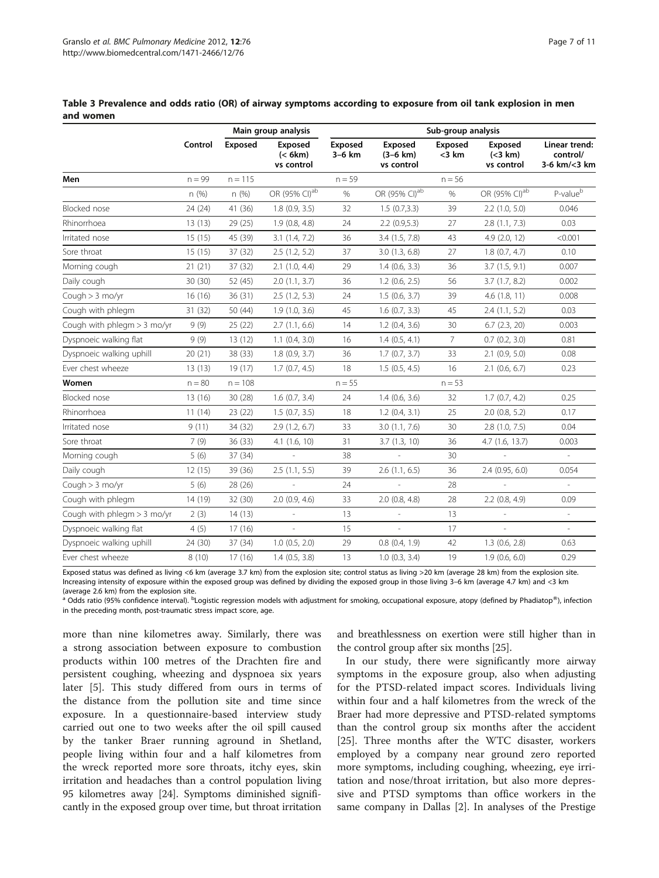|                               |          | Main group analysis |                                  | Sub-group analysis       |                                     |                     |                                  |                                           |  |
|-------------------------------|----------|---------------------|----------------------------------|--------------------------|-------------------------------------|---------------------|----------------------------------|-------------------------------------------|--|
|                               | Control  | Exposed             | Exposed<br>(< 6km)<br>vs control | <b>Exposed</b><br>3-6 km | Exposed<br>$(3-6 km)$<br>vs control | Exposed<br>$<$ 3 km | Exposed<br>(<3 km)<br>vs control | Linear trend:<br>control/<br>3-6 km/<3 km |  |
| Men                           | $n = 99$ | $n = 115$           |                                  | $n = 59$                 |                                     | $n = 56$            |                                  |                                           |  |
|                               | n(%)     | n(%)                | OR (95% CI) <sup>ab</sup>        | $\%$                     | OR (95% CI) <sup>ab</sup>           | %                   | OR (95% CI) <sup>ab</sup>        | P-value <sup>b</sup>                      |  |
| Blocked nose                  | 24 (24)  | 41 (36)             | 1.8(0.9, 3.5)                    | 32                       | 1.5(0.7,3.3)                        | 39                  | $2.2$ (1.0, 5.0)                 | 0.046                                     |  |
| Rhinorrhoea                   | 13(13)   | 29 (25)             | 1.9(0.8, 4.8)                    | 24                       | 2.2(0.9,5.3)                        | 27                  | 2.8(1.1, 7.3)                    | 0.03                                      |  |
| Irritated nose                | 15(15)   | 45 (39)             | 3.1(1.4, 7.2)                    | 36                       | 3.4 (1.5, 7.8)                      | 43                  | 4.9 (2.0, 12)                    | < 0.001                                   |  |
| Sore throat                   | 15(15)   | 37 (32)             | 2.5(1.2, 5.2)                    | 37                       | 3.0(1.3, 6.8)                       | 27                  | 1.8(0.7, 4.7)                    | 0.10                                      |  |
| Morning cough                 | 21(21)   | 37 (32)             | 2.1(1.0, 4.4)                    | 29                       | $1.4$ (0.6, 3.3)                    | 36                  | 3.7(1.5, 9.1)                    | 0.007                                     |  |
| Daily cough                   | 30(30)   | 52 (45)             | 2.0(1.1, 3.7)                    | 36                       | $1.2$ (0.6, 2.5)                    | 56                  | 3.7(1.7, 8.2)                    | 0.002                                     |  |
| Cough $>$ 3 mo/yr             | 16(16)   | 36(31)              | 2.5(1.2, 5.3)                    | 24                       | 1.5(0.6, 3.7)                       | 39                  | $4.6$ $(1.8, 11)$                | 0.008                                     |  |
| Cough with phlegm             | 31 (32)  | 50 (44)             | 1.9(1.0, 3.6)                    | 45                       | 1.6(0.7, 3.3)                       | 45                  | 2.4(1.1, 5.2)                    | 0.03                                      |  |
| Cough with phlegm $>$ 3 mo/yr | 9(9)     | 25(22)              | 2.7(1.1, 6.6)                    | 14                       | $1.2$ (0.4, 3.6)                    | 30                  | $6.7$ $(2.3, 20)$                | 0.003                                     |  |
| Dyspnoeic walking flat        | 9(9)     | 13(12)              | $1.1$ (0.4, 3.0)                 | 16                       | 1.4(0.5, 4.1)                       | $\overline{7}$      | $0.7$ $(0.2, 3.0)$               | 0.81                                      |  |
| Dyspnoeic walking uphill      | 20(21)   | 38 (33)             | 1.8(0.9, 3.7)                    | 36                       | 1.7(0.7, 3.7)                       | 33                  | $2.1$ (0.9, 5.0)                 | 0.08                                      |  |
| Ever chest wheeze             | 13(13)   | 19 (17)             | 1.7(0.7, 4.5)                    | 18                       | 1.5(0.5, 4.5)                       | 16                  | $2.1$ (0.6, 6.7)                 | 0.23                                      |  |
| Women                         | $n = 80$ | $n = 108$           |                                  | $n = 55$                 |                                     | $n = 53$            |                                  |                                           |  |
| Blocked nose                  | 13 (16)  | 30(28)              | 1.6(0.7, 3.4)                    | 24                       | $1.4$ (0.6, 3.6)                    | 32                  | 1.7(0.7, 4.2)                    | 0.25                                      |  |
| Rhinorrhoea                   | 11(14)   | 23 (22)             | 1.5(0.7, 3.5)                    | 18                       | 1.2(0.4, 3.1)                       | 25                  | $2.0$ (0.8, 5.2)                 | 0.17                                      |  |
| Irritated nose                | 9(11)    | 34 (32)             | 2.9(1.2, 6.7)                    | 33                       | 3.0(1.1, 7.6)                       | 30                  | 2.8(1.0, 7.5)                    | 0.04                                      |  |
| Sore throat                   | 7(9)     | 36 (33)             | 4.1(1.6, 10)                     | 31                       | 3.7(1.3, 10)                        | 36                  | $4.7$ (1.6, 13.7)                | 0.003                                     |  |
| Morning cough                 | 5(6)     | 37 (34)             |                                  | 38                       | $\overline{a}$                      | 30                  |                                  | $\mathcal{L}$                             |  |
| Daily cough                   | 12(15)   | 39 (36)             | 2.5(1.1, 5.5)                    | 39                       | 2.6(1.1, 6.5)                       | 36                  | 2.4 (0.95, 6.0)                  | 0.054                                     |  |
| Cough $> 3$ mo/yr             | 5(6)     | 28 (26)             | $\overline{\phantom{a}}$         | 24                       | $\overline{\phantom{a}}$            | 28                  | $\overline{\phantom{a}}$         | $\mathcal{L}$                             |  |
| Cough with phlegm             | 14 (19)  | 32 (30)             | $2.0$ (0.9, 4.6)                 | 33                       | $2.0$ (0.8, 4.8)                    | 28                  | $2.2$ (0.8, 4.9)                 | 0.09                                      |  |
| Cough with phlegm > 3 mo/yr   | 2(3)     | 14(13)              |                                  | 13                       |                                     | 13                  |                                  | $\bar{a}$                                 |  |
| Dyspnoeic walking flat        | 4(5)     | 17(16)              |                                  | 15                       |                                     | 17                  |                                  |                                           |  |
| Dyspnoeic walking uphill      | 24 (30)  | 37(34)              | $1.0$ (0.5, 2.0)                 | 29                       | $0.8$ $(0.4, 1.9)$                  | 42                  | $1.3$ (0.6, 2.8)                 | 0.63                                      |  |
| Ever chest wheeze             | 8(10)    | 17(16)              | $1.4$ (0.5, 3.8)                 | 13                       | $1.0$ (0.3, 3.4)                    | 19                  | 1.9(0.6, 6.0)                    | 0.29                                      |  |

<span id="page-6-0"></span>Table 3 Prevalence and odds ratio (OR) of airway symptoms according to exposure from oil tank explosion in men and women

Exposed status was defined as living <6 km (average 3.7 km) from the explosion site; control status as living >20 km (average 28 km) from the explosion site. Increasing intensity of exposure within the exposed group was defined by dividing the exposed group in those living 3–6 km (average 4.7 km) and <3 km (average 2.6 km) from the explosion site.

<sup>a</sup> Odds ratio (95% confidence interval). <sup>b</sup>Logistic regression models with adjustment for smoking, occupational exposure, atopy (defined by Phadiatop®), infection in the preceding month, post-traumatic stress impact score, age.

more than nine kilometres away. Similarly, there was a strong association between exposure to combustion products within 100 metres of the Drachten fire and persistent coughing, wheezing and dyspnoea six years later [\[5\]](#page-9-0). This study differed from ours in terms of the distance from the pollution site and time since exposure. In a questionnaire-based interview study carried out one to two weeks after the oil spill caused by the tanker Braer running aground in Shetland, people living within four and a half kilometres from the wreck reported more sore throats, itchy eyes, skin irritation and headaches than a control population living 95 kilometres away [\[24](#page-9-0)]. Symptoms diminished significantly in the exposed group over time, but throat irritation

and breathlessness on exertion were still higher than in the control group after six months [[25\]](#page-9-0).

In our study, there were significantly more airway symptoms in the exposure group, also when adjusting for the PTSD-related impact scores. Individuals living within four and a half kilometres from the wreck of the Braer had more depressive and PTSD-related symptoms than the control group six months after the accident [[25\]](#page-9-0). Three months after the WTC disaster, workers employed by a company near ground zero reported more symptoms, including coughing, wheezing, eye irritation and nose/throat irritation, but also more depressive and PTSD symptoms than office workers in the same company in Dallas [\[2](#page-9-0)]. In analyses of the Prestige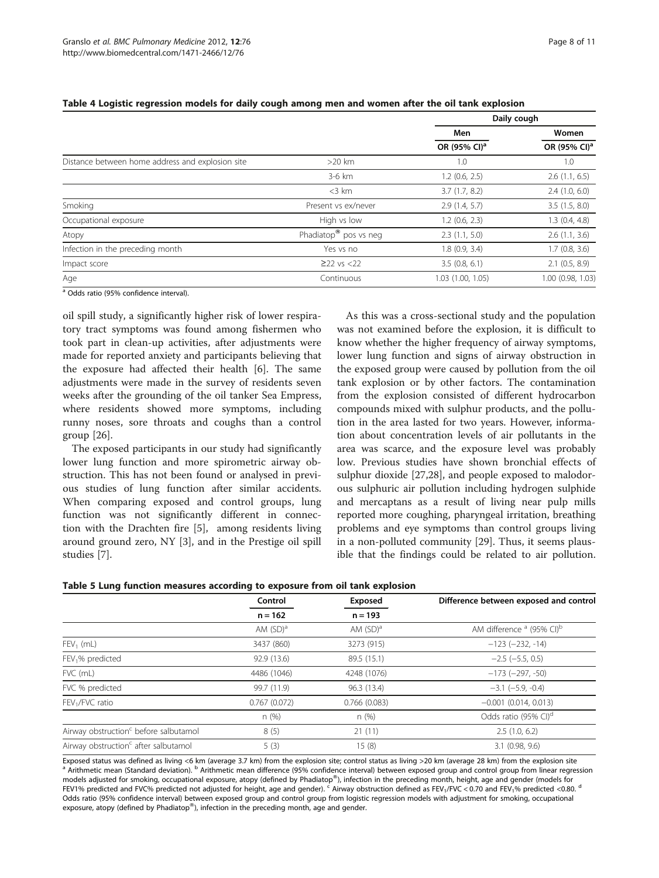|                                                  |                       | Daily cough              |                                   |  |
|--------------------------------------------------|-----------------------|--------------------------|-----------------------------------|--|
|                                                  |                       | Men                      | Women<br>OR (95% CI) <sup>a</sup> |  |
|                                                  |                       | OR (95% CI) <sup>a</sup> |                                   |  |
| Distance between home address and explosion site | $>20$ km              | 1.0                      | 1.0                               |  |
|                                                  | 3-6 km                | $1.2$ (0.6, 2.5)         | 2.6(1.1, 6.5)                     |  |
|                                                  | $<$ 3 km              | 3.7(1.7, 8.2)            | 2.4(1.0, 6.0)                     |  |
| Smoking                                          | Present vs ex/never   | 2.9(1.4, 5.7)            | 3.5(1.5, 8.0)                     |  |
| Occupational exposure                            | High vs low           | $1.2$ (0.6, 2.3)         | 1.3(0.4, 4.8)                     |  |
| Atopy                                            | Phadiatop® pos vs neg | 2.3(1.1, 5.0)            | 2.6(1.1, 3.6)                     |  |
| Infection in the preceding month                 | Yes vs no             | 1.8(0.9, 3.4)            | 1.7(0.8, 3.6)                     |  |
| Impact score                                     | $\geq$ 22 vs < 22     | 3.5(0.8, 6.1)            | $2.1$ (0.5, 8.9)                  |  |
| Age                                              | Continuous            | 1.03(1.00, 1.05)         | 1.00 (0.98, 1.03)                 |  |

# <span id="page-7-0"></span>Table 4 Logistic regression models for daily cough among men and women after the oil tank explosion

<sup>a</sup> Odds ratio (95% confidence interval).

oil spill study, a significantly higher risk of lower respiratory tract symptoms was found among fishermen who took part in clean-up activities, after adjustments were made for reported anxiety and participants believing that the exposure had affected their health [[6\]](#page-9-0). The same adjustments were made in the survey of residents seven weeks after the grounding of the oil tanker Sea Empress, where residents showed more symptoms, including runny noses, sore throats and coughs than a control group [[26\]](#page-10-0).

The exposed participants in our study had significantly lower lung function and more spirometric airway obstruction. This has not been found or analysed in previous studies of lung function after similar accidents. When comparing exposed and control groups, lung function was not significantly different in connection with the Drachten fire [[5\]](#page-9-0), among residents living around ground zero, NY [\[3](#page-9-0)], and in the Prestige oil spill studies [\[7\]](#page-9-0).

As this was a cross-sectional study and the population was not examined before the explosion, it is difficult to know whether the higher frequency of airway symptoms, lower lung function and signs of airway obstruction in the exposed group were caused by pollution from the oil tank explosion or by other factors. The contamination from the explosion consisted of different hydrocarbon compounds mixed with sulphur products, and the pollution in the area lasted for two years. However, information about concentration levels of air pollutants in the area was scarce, and the exposure level was probably low. Previous studies have shown bronchial effects of sulphur dioxide [\[27,28\]](#page-10-0), and people exposed to malodorous sulphuric air pollution including hydrogen sulphide and mercaptans as a result of living near pulp mills reported more coughing, pharyngeal irritation, breathing problems and eye symptoms than control groups living in a non-polluted community [[29](#page-10-0)]. Thus, it seems plausible that the findings could be related to air pollution.

|  |  | Table 5 Lung function measures according to exposure from oil tank explosion |
|--|--|------------------------------------------------------------------------------|
|  |  |                                                                              |

|                                                   | Control      | <b>Exposed</b> | Difference between exposed and control           |  |
|---------------------------------------------------|--------------|----------------|--------------------------------------------------|--|
|                                                   | $n = 162$    | $n = 193$      |                                                  |  |
|                                                   | AM $(SD)^a$  | AM $(SD)^a$    | AM difference <sup>a</sup> (95% CI) <sup>b</sup> |  |
| $FEV1$ (mL)                                       | 3437 (860)   | 3273 (915)     | $-123 (-232, -14)$                               |  |
| $FEV1%$ predicted                                 | 92.9 (13.6)  | 89.5 (15.1)    | $-2.5$ ( $-5.5$ , 0.5)                           |  |
| FVC (mL)                                          | 4486 (1046)  | 4248 (1076)    | $-173 (-297, -50)$                               |  |
| FVC % predicted                                   | 99.7 (11.9)  | 96.3 (13.4)    | $-3.1$ $(-5.9, -0.4)$                            |  |
| FEV <sub>1</sub> /FVC ratio                       | 0.767(0.072) | 0.766(0.083)   | $-0.001$ (0.014, 0.013)                          |  |
|                                                   | n(%)         | n(%)           | Odds ratio (95% CI) <sup>d</sup>                 |  |
| Airway obstruction <sup>c</sup> before salbutamol | 8(5)         | 21(11)         | 2.5(1.0, 6.2)                                    |  |
| Airway obstruction <sup>c</sup> after salbutamol  | 5(3)         | 15(8)          | $3.1$ (0.98, 9.6)                                |  |

Exposed status was defined as living <6 km (average 3.7 km) from the explosion site; control status as living >20 km (average 28 km) from the explosion site<br><sup>a</sup> Arithmetic mean (Standard deviation). <sup>b</sup> Arithmetic mean dif models adjusted for smoking, occupational exposure, atopy (defined by Phadiatop®), infection in the preceding month, height, age and gender (models for FEV1% predicted and FVC% predicted not adjusted for height, age and gender). <sup>c</sup> Airway obstruction defined as FEV<sub>1</sub>/FVC < 0.70 and FEV<sub>1</sub>% predicted <0.80. <sup>d</sup> Odds ratio (95% confidence interval) between exposed group and control group from logistic regression models with adjustment for smoking, occupational exposure, atopy (defined by Phadiatop®), infection in the preceding month, age and gender.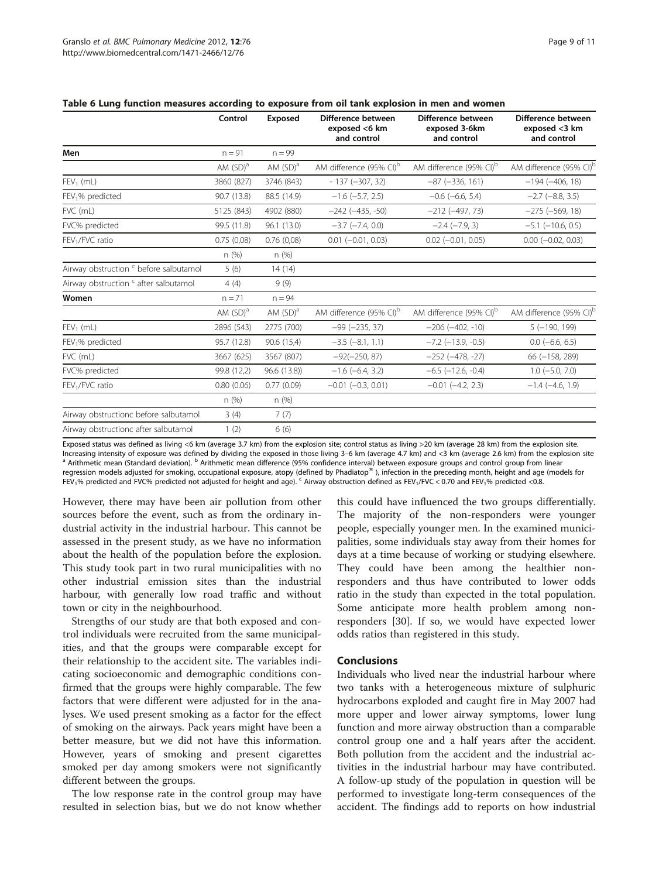|                                                   |             |              | Difference between<br>exposed <6 km<br>and control | Difference between<br>exposed 3-6km<br>and control | Difference between<br>exposed <3 km<br>and control |
|---------------------------------------------------|-------------|--------------|----------------------------------------------------|----------------------------------------------------|----------------------------------------------------|
| Men                                               | $n = 91$    | $n = 99$     |                                                    |                                                    |                                                    |
|                                                   | AM $(SD)^a$ | AM $(SD)^a$  | AM difference (95% CI) <sup>b</sup>                | AM difference (95% CI) <sup>b</sup>                | AM difference (95% CI) <sup>b</sup>                |
| $FEV1$ (mL)                                       | 3860 (827)  | 3746 (843)   | $-137 (-307, 32)$                                  | $-87 (-336, 161)$                                  | $-194 (-406, 18)$                                  |
| FEV <sub>1</sub> % predicted                      | 90.7 (13.8) | 88.5 (14.9)  | $-1.6$ ( $-5.7$ , 2.5)                             | $-0.6$ ( $-6.6$ , 5.4)                             | $-2.7$ ( $-8.8$ , 3.5)                             |
| FVC (mL)                                          | 5125 (843)  | 4902 (880)   | $-242 (-435, -50)$                                 | $-212 (-497, 73)$                                  | $-275 (-569, 18)$                                  |
| FVC% predicted                                    | 99.5 (11.8) | 96.1 (13.0)  | $-3.7$ $(-7.4, 0.0)$                               | $-2.4 (-7.9, 3)$                                   | $-5.1$ $(-10.6, 0.5)$                              |
| FEV <sub>1</sub> /FVC ratio                       | 0.75(0,08)  | 0.76(0,08)   | $0.01$ $(-0.01, 0.03)$                             | $0.02$ ( $-0.01$ , $0.05$ )                        | $0.00 (-0.02, 0.03)$                               |
|                                                   | n(%)        | n(%)         |                                                    |                                                    |                                                    |
| Airway obstruction <sup>c</sup> before salbutamol | 5(6)        | 14(14)       |                                                    |                                                    |                                                    |
| Airway obstruction <sup>c</sup> after salbutamol  | 4(4)        | 9(9)         |                                                    |                                                    |                                                    |
| Women                                             | $n = 71$    | $n = 94$     |                                                    |                                                    |                                                    |
|                                                   | AM $(SD)^a$ | AM $(SD)^a$  | AM difference (95% CI) <sup>b</sup>                | AM difference (95% CI) <sup>b</sup>                | AM difference (95% CI) <sup>b</sup>                |
| $FEV1$ (mL)                                       | 2896 (543)  | 2775 (700)   | $-99 (-235, 37)$                                   | $-206 (-402, -10)$                                 | $5(-190, 199)$                                     |
| FEV <sub>1</sub> % predicted                      | 95.7 (12.8) | 90.6 (15,4)  | $-3.5$ $(-8.1, 1.1)$                               | $-7.2$ ( $-13.9$ , $-0.5$ )                        | $0.0$ (-6.6, 6.5)                                  |
| FVC (mL)                                          | 3667 (625)  | 3567 (807)   | $-92(-250, 87)$                                    | $-252(-478,-27)$                                   | 66 (-158, 289)                                     |
| FVC% predicted                                    | 99.8 (12,2) | 96.6 (13.8)) | $-1.6$ (-6.4, 3.2)                                 | $-6.5$ ( $-12.6$ , $-0.4$ )                        | $1.0$ (-5.0, 7.0)                                  |
| FEV <sub>1</sub> /FVC ratio                       | 0.80(0.06)  | 0.77(0.09)   | $-0.01$ $(-0.3, 0.01)$                             | $-0.01$ $(-4.2, 2.3)$                              | $-1.4$ (-4.6, 1.9)                                 |
|                                                   | n(%)        | n(%)         |                                                    |                                                    |                                                    |
| Airway obstructionc before salbutamol             | 3(4)        | 7(7)         |                                                    |                                                    |                                                    |
| Airway obstructionc after salbutamol              | 1(2)        | 6(6)         |                                                    |                                                    |                                                    |

<span id="page-8-0"></span>

Exposed status was defined as living <6 km (average 3.7 km) from the explosion site; control status as living >20 km (average 28 km) from the explosion site.<br>Increasing intensity of exposure was defined by dividing the exp <sup>a</sup> Arithmetic mean (Standard deviation). <sup>b</sup> Arithmetic mean difference (95% confidence interval) between exposure groups and control group from linear regression models adjusted for smoking, occupational exposure, atopy (defined by Phadiatop®), infection in the preceding month, height and age (models for FEV<sub>1</sub>% predicted and FVC% predicted not adjusted for height and age). <sup>c</sup> Airway obstruction defined as FEV<sub>1</sub>/FVC < 0.70 and FEV<sub>1</sub>% predicted <0.8.

However, there may have been air pollution from other sources before the event, such as from the ordinary industrial activity in the industrial harbour. This cannot be assessed in the present study, as we have no information about the health of the population before the explosion. This study took part in two rural municipalities with no other industrial emission sites than the industrial harbour, with generally low road traffic and without town or city in the neighbourhood.

Strengths of our study are that both exposed and control individuals were recruited from the same municipalities, and that the groups were comparable except for their relationship to the accident site. The variables indicating socioeconomic and demographic conditions confirmed that the groups were highly comparable. The few factors that were different were adjusted for in the analyses. We used present smoking as a factor for the effect of smoking on the airways. Pack years might have been a better measure, but we did not have this information. However, years of smoking and present cigarettes smoked per day among smokers were not significantly different between the groups.

The low response rate in the control group may have resulted in selection bias, but we do not know whether this could have influenced the two groups differentially. The majority of the non-responders were younger people, especially younger men. In the examined municipalities, some individuals stay away from their homes for days at a time because of working or studying elsewhere. They could have been among the healthier nonresponders and thus have contributed to lower odds ratio in the study than expected in the total population. Some anticipate more health problem among nonresponders [[30](#page-10-0)]. If so, we would have expected lower odds ratios than registered in this study.

# **Conclusions**

Individuals who lived near the industrial harbour where two tanks with a heterogeneous mixture of sulphuric hydrocarbons exploded and caught fire in May 2007 had more upper and lower airway symptoms, lower lung function and more airway obstruction than a comparable control group one and a half years after the accident. Both pollution from the accident and the industrial activities in the industrial harbour may have contributed. A follow-up study of the population in question will be performed to investigate long-term consequences of the accident. The findings add to reports on how industrial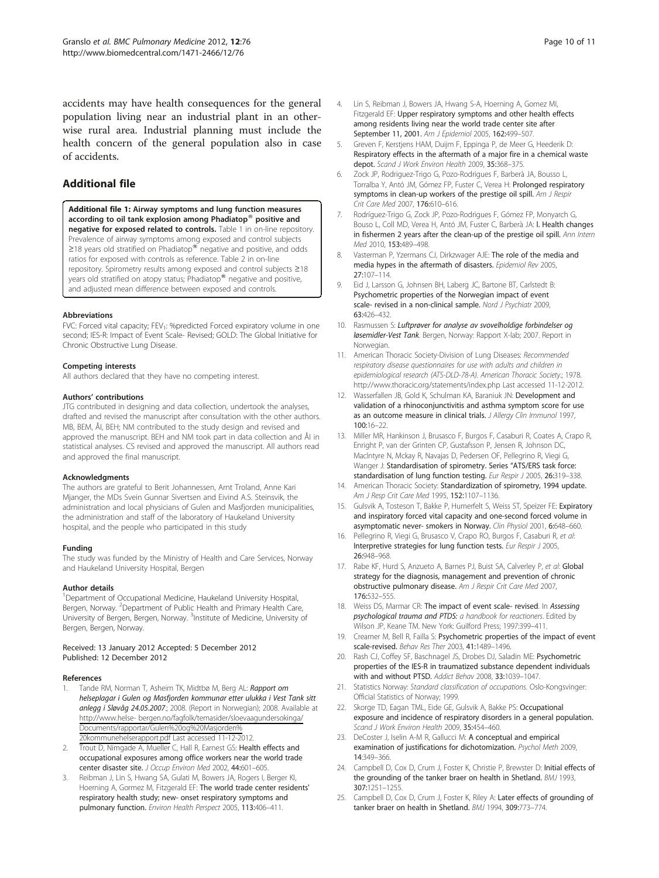<span id="page-9-0"></span>accidents may have health consequences for the general population living near an industrial plant in an otherwise rural area. Industrial planning must include the health concern of the general population also in case of accidents.

# Additional file

[Additional file 1:](http://www.biomedcentral.com/content/supplementary/1471-2466-12-76-S1.docx) Airway symptoms and lung function measures according to oil tank explosion among Phadiatop® positive and negative for exposed related to controls. Table 1 in on-line repository. Prevalence of airway symptoms among exposed and control subjects  $\geq$ 18 years old stratified on Phadiatop® negative and positive, and odds ratios for exposed with controls as reference. Table 2 in on-line repository. Spirometry results among exposed and control subjects ≥18 years old stratified on atopy status;  $\overline{P}$  hadiatop<sup>®</sup> negative and positive, and adjusted mean difference between exposed and controls.

#### Abbreviations

FVC: Forced vital capacity; FEV<sub>1</sub>: %predicted Forced expiratory volume in one second; IES-R: Impact of Event Scale- Revised; GOLD: The Global Initiative for Chronic Obstructive Lung Disease.

#### Competing interests

All authors declared that they have no competing interest.

#### Authors' contributions

JTG contributed in designing and data collection, undertook the analyses, drafted and revised the manuscript after consultation with the other authors. MB, BEM, ÅI, BEH; NM contributed to the study design and revised and approved the manuscript. BEH and NM took part in data collection and ÅI in statistical analyses. CS revised and approved the manuscript. All authors read and approved the final manuscript.

#### Acknowledgments

The authors are grateful to Berit Johannessen, Arnt Troland, Anne Kari Mjanger, the MDs Svein Gunnar Sivertsen and Eivind A.S. Steinsvik, the administration and local physicians of Gulen and Masfjorden municipalities, the administration and staff of the laboratory of Haukeland University hospital, and the people who participated in this study

#### Funding

The study was funded by the Ministry of Health and Care Services, Norway and Haukeland University Hospital, Bergen

#### Author details

<sup>1</sup>Department of Occupational Medicine, Haukeland University Hospital, Bergen, Norway. <sup>2</sup>Department of Public Health and Primary Health Care, University of Bergen, Bergen, Norway. <sup>3</sup>Institute of Medicine, University of Bergen, Bergen, Norway.

#### Received: 13 January 2012 Accepted: 5 December 2012 Published: 12 December 2012

#### References

- Tande RM, Norman T, Asheim TK, Midtbø M, Berg AL: Rapport om helseplagar i Gulen og Masfjorden kommunar etter ulukka i Vest Tank sitt anlegg i Sløvåg 24.05.2007.; 2008. (Report in Norwegian); 2008. Available at [http://www.helse- bergen.no/fagfolk/temasider/sloevaagundersokinga/](http://www.helse-%20bergen.no/fagfolk/temasider/sloevaagundersokinga/Documents/rapportar/Gulen%20og%20Masjorden%20kommunehelserapport.pdf) [Documents/rapportar/Gulen%20og%20Masjorden%](http://www.helse-%20bergen.no/fagfolk/temasider/sloevaagundersokinga/Documents/rapportar/Gulen%20og%20Masjorden%20kommunehelserapport.pdf) [20kommunehelserapport.pdf](http://www.helse-%20bergen.no/fagfolk/temasider/sloevaagundersokinga/Documents/rapportar/Gulen%20og%20Masjorden%20kommunehelserapport.pdf) Last accessed 11-12-2012.
- 2. Trout D, Nimgade A, Mueller C, Hall R, Earnest GS: Health effects and occupational exposures among office workers near the world trade center disaster site. J Occup Environ Med 2002, 44:601-605.
- Reibman J, Lin S, Hwang SA, Gulati M, Bowers JA, Rogers I, Berger KI, Hoerning A, Gormez M, Fitzgerald EF: The world trade center residents' respiratory health study; new- onset respiratory symptoms and pulmonary function. Environ Health Perspect 2005, 113:406–411.
- 4. Lin S, Reibman J, Bowers JA, Hwang S-A, Hoerning A, Gomez MI, Fitzgerald EF: Upper respiratory symptoms and other health effects among residents living near the world trade center site after September 11, 2001. Am J Epidemiol 2005, 162:499–507.
- 5. Greven F, Kerstjens HAM, Duijm F, Eppinga P, de Meer G, Heederik D: Respiratory effects in the aftermath of a major fire in a chemical waste depot. Scand J Work Environ Health 2009, 35:368–375.
- 6. Zock JP, Rodriguez-Trigo G, Pozo-Rodrigues F, Barberà JA, Bousso L, Torralba Y, Antó JM, Gómez FP, Fuster C, Verea H: Prolonged respiratory symptoms in clean-up workers of the prestige oil spill. Am J Respir Crit Care Med 2007, 176:610–616.
- 7. Rodríguez-Trigo G, Zock JP, Pozo-Rodrigues F, Gómez FP, Monyarch G, Bouso L, Coll MD, Verea H, Antó JM, Fuster C, Barberà JA: l. Health changes in fishermen 2 years after the clean-up of the prestige oil spill. Ann Intern Med 2010, 153:489–498.
- 8. Vasterman P, Yzermans CJ, Dirkzwager AJE: The role of the media and media hypes in the aftermath of disasters. Epidemiol Rev 2005, 27:107–114.
- 9. Eid J, Larsson G, Johnsen BH, Laberg JC, Bartone BT, Carlstedt B: Psychometric properties of the Norwegian impact of event scale- revised in a non-clinical sample. Nord J Psychiatr 2009, 63:426–432.
- 10. Rasmussen S: Luftprøver for analyse av svovelholdige forbindelser og løsemidler-Vest Tank. Bergen, Norway: Rapport X-lab; 2007. Report in Norwegian.
- 11. American Thoracic Society-Division of Lung Diseases: Recommended respiratory disease questionnaires for use with adults and children in epidemiological research (ATS-DLD-78-A). American Thoracic Society.; 1978. http://www.thoracic.org/statements/index.php Last accessed 11-12-2012.
- 12. Wasserfallen JB, Gold K, Schulman KA, Baraniuk JN: Development and validation of a rhinoconjunctivitis and asthma symptom score for use as an outcome measure in clinical trials. J Allergy Clin Immunol 1997, 100:16–22.
- 13. Miller MR, Hankinson J, Brusasco F, Burgos F, Casaburi R, Coates A, Crapo R, Enright P, van der Grinten CP, Gustafsson P, Jensen R, Johnson DC, Maclntyre N, Mckay R, Navajas D, Pedersen OF, Pellegrino R, Viegi G, Wanger J: Standardisation of spirometry. Series "ATS/ERS task force: standardisation of lung function testing. Eur Respir J 2005, 26:319–338.
- 14. American Thoracic Society: Standardization of spirometry, 1994 update. Am J Resp Crit Care Med 1995, 152:1107–1136.
- 15. Gulsvik A, Tosteson T, Bakke P, Humerfelt S, Weiss ST, Speizer FE: Expiratory and inspiratory forced vital capacity and one-second forced volume in asymptomatic never- smokers in Norway. Clin Physiol 2001, 6:648-660.
- 16. Pellegrino R, Viegi G, Brusasco V, Crapo RO, Burgos F, Casaburi R, et al: Interpretive strategies for lung function tests. Eur Respir J 2005, 26:948–968.
- 17. Rabe KF, Hurd S, Anzueto A, Barnes PJ, Buist SA, Calverley P, et al: Global strategy for the diagnosis, management and prevention of chronic obstructive pulmonary disease. Am J Respir Crit Care Med 2007, 176:532–555.
- 18. Weiss DS, Marmar CR: The impact of event scale- revised. In Assessing psychological trauma and PTDS: a handbook for reactioners. Edited by Wilson JP, Keane TM. New York: Guilford Press; 1997:399–411.
- 19. Creamer M, Bell R, Failla S: Psychometric properties of the impact of event scale-revised. Behav Res Ther 2003, 41:1489–1496.
- 20. Rash CJ, Coffey SF, Baschnagel JS, Drobes DJ, Saladin ME: Psychometric properties of the IES-R in traumatized substance dependent individuals with and without PTSD. Addict Behav 2008, 33:1039–1047.
- 21. Statistics Norway: Standard classification of occupations. Oslo-Kongsvinger: Official Statistics of Norway; 1999.
- 22. Skorge TD, Eagan TML, Eide GE, Gulsvik A, Bakke PS: Occupational exposure and incidence of respiratory disorders in a general population. Scand J Work Environ Health 2009, 35:454–460.
- 23. DeCoster J, Iselin A-M R, Gallucci M: A conceptual and empirical examination of justifications for dichotomization. Psychol Meth 2009, 14:349–366.
- 24. Campbell D, Cox D, Crum J, Foster K, Christie P, Brewster D: Initial effects of the grounding of the tanker braer on health in Shetland. BMJ 1993, 307:1251–1255.
- 25. Campbell D, Cox D, Crum J, Foster K, Riley A: Later effects of grounding of tanker braer on health in Shetland. BMJ 1994, 309:773–774.